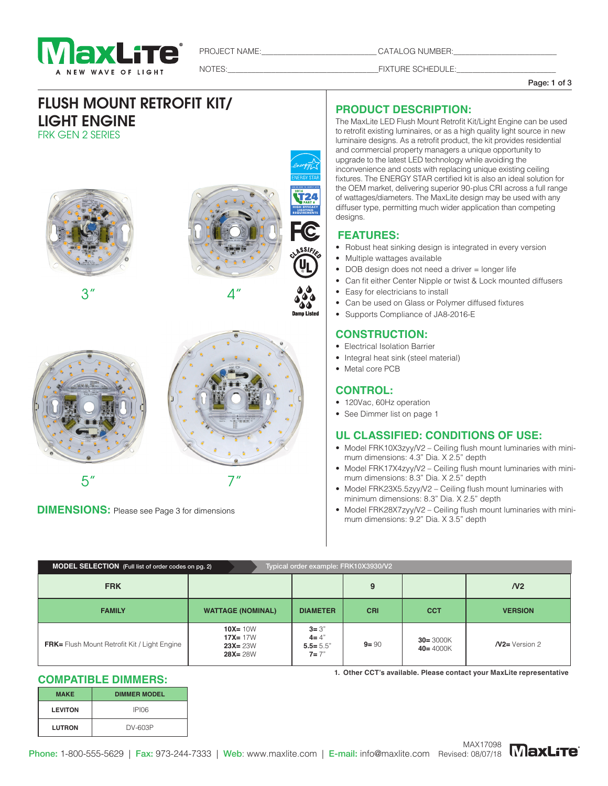

PROJECT NAME:\_\_\_\_\_\_\_\_\_\_\_\_\_\_\_\_\_\_\_\_\_\_\_\_\_\_\_\_\_ CATALOG NUMBER:\_\_\_\_\_\_\_\_\_\_\_\_\_\_\_\_\_\_\_\_\_\_\_\_\_\_

NOTES:\_\_\_\_\_\_\_\_\_\_\_\_\_\_\_\_\_\_\_\_\_\_\_\_\_\_\_\_\_\_\_\_\_\_\_\_\_\_FIXTURE SCHEDULE:\_\_\_\_\_\_\_\_\_\_\_\_\_\_\_\_\_\_\_\_\_\_\_\_\_

#### Page: 1 of 3

# FLUSH MOUNT RETROFIT KIT/ LIGHT ENGINE FRK GEN 2 SERIES







**DIMENSIONS:** Please see Page 3 for dimensions

# **PRODUCT DESCRIPTION:**

The MaxLite LED Flush Mount Retrofit Kit/Light Engine can be used to retrofit existing luminaires, or as a high quality light source in new luminaire designs. As a retrofit product, the kit provides residential and commercial property managers a unique opportunity to upgrade to the latest LED technology while avoiding the inconvenience and costs with replacing unique existing ceiling fixtures. The ENERGY STAR certified kit is also an ideal solution for the OEM market, delivering superior 90-plus CRI across a full range of wattages/diameters. The MaxLite design may be used with any diffuser type, permitting much wider application than competing designs.

### **FEATURES:**

- Robust heat sinking design is integrated in every version
- Multiple wattages available
- DOB design does not need a driver = longer life
- Can fit either Center Nipple or twist & Lock mounted diffusers
- Easy for electricians to install
- Can be used on Glass or Polymer diffused fixtures
- Supports Compliance of JA8-2016-E

## **CONSTRUCTION:**

- Electrical Isolation Barrier
- Integral heat sink (steel material)
- Metal core PCB

### **CONTROL:**

- 120Vac, 60Hz operation
- See Dimmer list on page 1

### **UL CLASSIFIED: CONDITIONS OF USE:**

- Model FRK10X3zyy/V2 Ceiling flush mount luminaries with minimum dimensions: 4.3" Dia. X 2.5" depth
- Model FRK17X4zyy/V2 Ceiling flush mount luminaries with minimum dimensions: 8.3" Dia. X 2.5" depth
- Model FRK23X5.5zyy/V2 Ceiling flush mount luminaries with minimum dimensions: 8.3" Dia. X 2.5" depth
- Model FRK28X7zyy/V2 Ceiling flush mount luminaries with minimum dimensions: 9.2" Dia. X 3.5" depth

| Typical order example: FRK10X3930/V2<br>MODEL SELECTION (Full list of order codes on pg. 2) |                                                          |                                                  |            |                              |                  |  |  |
|---------------------------------------------------------------------------------------------|----------------------------------------------------------|--------------------------------------------------|------------|------------------------------|------------------|--|--|
| <b>FRK</b>                                                                                  |                                                          |                                                  | 9          |                              | N <sub>2</sub>   |  |  |
| <b>FAMILY</b>                                                                               | <b>WATTAGE (NOMINAL)</b>                                 | <b>DIAMETER</b>                                  | <b>CRI</b> | <b>CCT</b>                   | <b>VERSION</b>   |  |  |
| <b>FRK</b> = Flush Mount Retrofit Kit / Light Engine                                        | $10X = 10W$<br>$17X = 17W$<br>$23X = 23W$<br>$28X = 28W$ | $3 = 3"$<br>$4 = 4"$<br>$5.5 = 5.5"$<br>$7 = 7"$ | $9 = 90$   | $30 = 3000K$<br>$40 = 4000K$ | $N2$ = Version 2 |  |  |

#### **COMPATIBLE DIMMERS:**

| <b>MAKE</b>    | <b>DIMMER MODEL</b> |  |  |  |
|----------------|---------------------|--|--|--|
| <b>LEVITON</b> | <b>IPI06</b>        |  |  |  |
| <b>LUTRON</b>  | DV-603P             |  |  |  |

**1. Other CCT's available. Please contact your MaxLite representative**

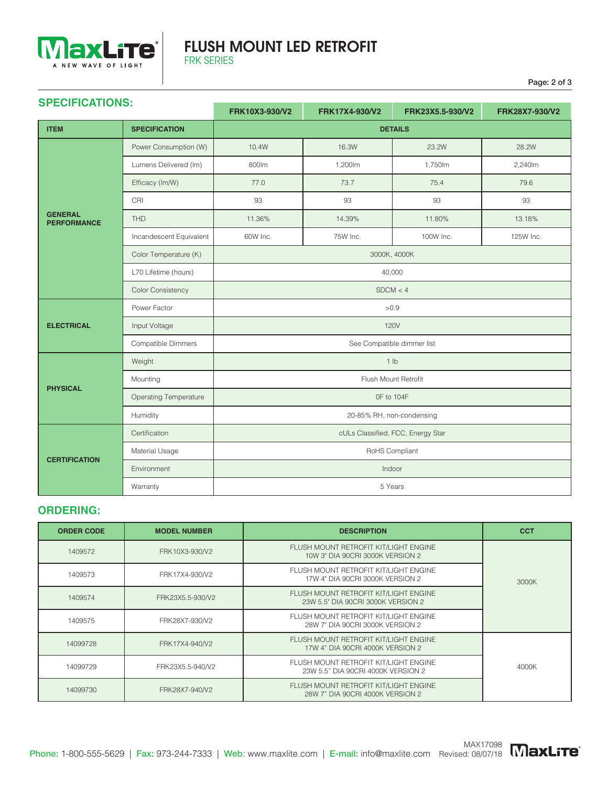

# FLUSH MOUNT LED RETROFIT FRK SERIES

Page: 2 of 3

| <b>SPECIFICATIONS:</b><br>FRK10X3-930/V2<br>FRK17X4-930/V2<br>FRK23X5.5-930/V2 |                              |                                   |                                                                           | FRK28X7-930/V2 |            |
|--------------------------------------------------------------------------------|------------------------------|-----------------------------------|---------------------------------------------------------------------------|----------------|------------|
| <b>ITEM</b>                                                                    | <b>SPECIFICATION</b>         | <b>DETAILS</b>                    |                                                                           |                |            |
|                                                                                | Power Consumption (W)        | 10.4W                             | 16.3W                                                                     | 23.2W          | 28.2W      |
| <b>GENERAL</b><br><b>PERFORMANCE</b>                                           | Lumens Delivered (Im)        | 800lm                             | 1,200lm                                                                   | 1,750lm        | 2,240lm    |
|                                                                                | Efficacy (Im/W)              | 77.0                              | 73.7                                                                      | 75.4           | 79.6       |
|                                                                                | CRI                          | 93                                | 93                                                                        | 93             | 93         |
|                                                                                | THD                          | 11.36%                            | 14.39%                                                                    | 11.80%         | 13.18%     |
|                                                                                | Incandescent Equivalent      | 60W Inc.                          | 75W Inc.                                                                  | 100W Inc.      | 125W Inc.  |
|                                                                                | Color Temperature (K)        | 3000K, 4000K                      |                                                                           |                |            |
|                                                                                | L70 Lifetime (hours)         | 40,000                            |                                                                           |                |            |
|                                                                                | <b>Color Consistency</b>     | SDCM < 4                          |                                                                           |                |            |
|                                                                                | Power Factor                 | >0.9                              |                                                                           |                |            |
| <b>ELECTRICAL</b>                                                              | Input Voltage                | <b>120V</b>                       |                                                                           |                |            |
|                                                                                | Compatible Dimmers           | See Compatible dimmer list        |                                                                           |                |            |
| Weight                                                                         |                              | 1 <sub>lb</sub>                   |                                                                           |                |            |
|                                                                                | Mounting                     | Flush Mount Retrofit              |                                                                           |                |            |
| <b>PHYSICAL</b>                                                                | <b>Operating Temperature</b> | OF to 104F                        |                                                                           |                |            |
| Humidity                                                                       |                              | 20-85% RH, non-condensing         |                                                                           |                |            |
| Certification                                                                  |                              | cULs Classified, FCC, Energy Star |                                                                           |                |            |
| Material Usage<br><b>CERTIFICATION</b>                                         | RoHS Compliant               |                                   |                                                                           |                |            |
|                                                                                | Environment                  | Indoor                            |                                                                           |                |            |
|                                                                                | Warranty                     | 5 Years                           |                                                                           |                |            |
| <b>ORDERING:</b>                                                               |                              |                                   |                                                                           |                |            |
| <b>ORDER CODE</b>                                                              | <b>MODEL NUMBER</b>          |                                   | <b>DESCRIPTION</b>                                                        |                | <b>CCT</b> |
| 1409572                                                                        | FRK10X3-930/V2               |                                   | FLUSH MOUNT RETROFIT KIT/LIGHT ENGINE<br>10W 3" DIA 90CRI 3000K VERSION 2 |                |            |
|                                                                                |                              |                                   |                                                                           |                |            |

### **ORDERING:**

| <b>ORDER CODE</b> | <b>MODEL NUMBER</b> | <b>DESCRIPTION</b>                                                          | <b>CCT</b> |
|-------------------|---------------------|-----------------------------------------------------------------------------|------------|
| 1409572           | FRK10X3-930/V2      | FLUSH MOUNT RETROFIT KIT/LIGHT ENGINE<br>10W 3" DIA 90CRI 3000K VERSION 2   |            |
| 1409573           | FRK17X4-930/V2      | FLUSH MOUNT RETROFIT KIT/LIGHT ENGINE<br>17W 4" DIA 90CRI 3000K VERSION 2   | 3000K      |
| 1409574           | FRK23X5.5-930/V2    | FLUSH MOUNT RETROFIT KIT/LIGHT ENGINE<br>23W 5.5" DIA 90CRI 3000K VERSION 2 |            |
| 1409575           | FRK28X7-930/V2      | FLUSH MOUNT RETROFIT KIT/LIGHT ENGINE<br>28W 7" DIA 90CRI 3000K VERSION 2   |            |
| 14099728          | FRK17X4-940/V2      | FLUSH MOUNT RETROFIT KIT/LIGHT ENGINE<br>17W 4" DIA 90CRI 4000K VERSION 2   |            |
| 14099729          | FRK23X5.5-940/V2    | FLUSH MOUNT RETROFIT KIT/LIGHT ENGINE<br>23W 5.5" DIA 90CRI 4000K VERSION 2 | 4000K      |
| 14099730          | FRK28X7-940/V2      | FLUSH MOUNT RETROFIT KIT/LIGHT ENGINE<br>28W 7" DIA 90CRI 4000K VERSION 2   |            |